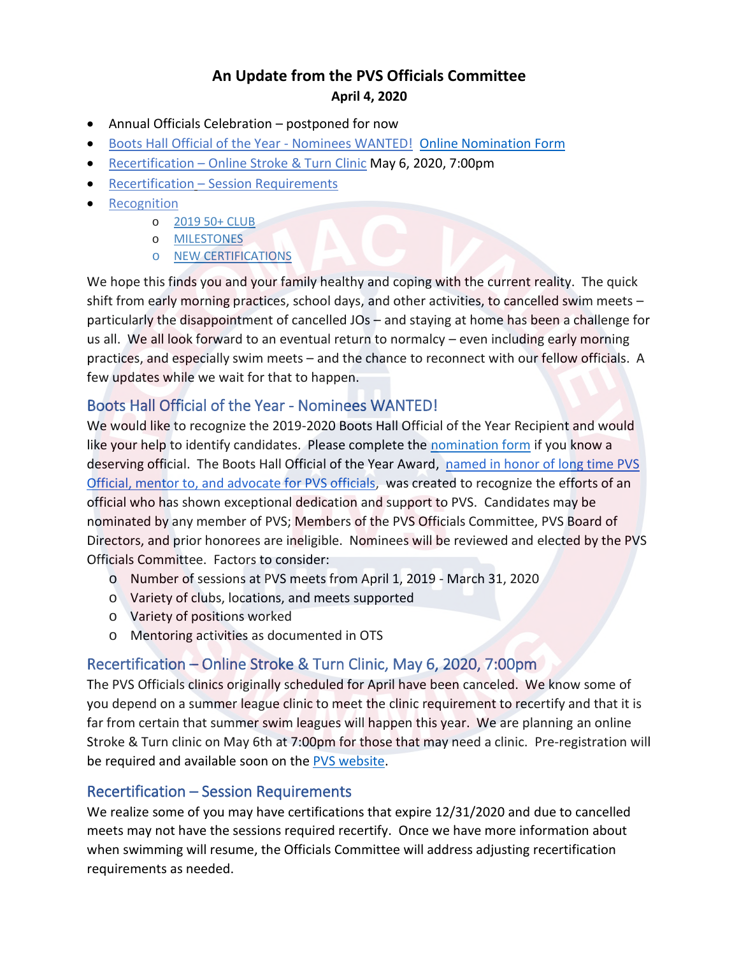# **An Update from the PVS Officials Committee April 4, 2020**

- Annual Officials Celebration postponed for now
- [Boots Hall Official of the Year -](#page-0-0) Nominees WANTED! [Online Nomination Form](https://forms.gle/vGg1csW17gV4BmPF7)
- [Recertification](#page-0-1)  Online Stroke & Turn Clinic May 6, 2020, 7:00pm
- Recertification [Session Requirements](#page-0-2)
- [Recognition](#page-1-0)
	- o [2019 50+ CLUB](#page-1-1)
	- o [MILESTONES](#page-1-2)
	- o [NEW CERTIFICATIONS](#page-2-0)

We hope this finds you and your family healthy and coping with the current reality. The quick shift from early morning practices, school days, and other activities, to cancelled swim meets – particularly the disappointment of cancelled JOs – and staying at home has been a challenge for us all. We all look forward to an eventual return to normalcy – even including early morning practices, and especially swim meets – and the chance to reconnect with our fellow officials. A few updates while we wait for that to happen.

## <span id="page-0-0"></span>Boots Hall Official of the Year - Nominees WANTED!

We would like to recognize the 2019-2020 Boots Hall Official of the Year Recipient and would like your help to identify candidates. Please complete the [nomination form](https://forms.gle/vGg1csW17gV4BmPF7) if you know a deserving official. The Boots Hall Official of the Year Award, named in honor of long time PVS Official, mentor to, [and advocate for PVS officials,](http://pvswim.org/official/newsletters/PVSOM_2018-05.pdf) was created to recognize the efforts of an official who has shown exceptional dedication and support to PVS. Candidates may be nominated by any member of PVS; Members of the PVS Officials Committee, PVS Board of Directors, and prior honorees are ineligible. Nominees will be reviewed and elected by the PVS Officials Committee. Factors to consider:

- o Number of sessions at PVS meets from April 1, 2019 March 31, 2020
- o Variety of clubs, locations, and meets supported
- o Variety of positions worked
- o Mentoring activities as documented in OTS

## <span id="page-0-1"></span>Recertification – Online Stroke & Turn Clinic, May 6, 2020, 7:00pm

The PVS Officials clinics originally scheduled for April have been canceled. We know some of you depend on a summer league clinic to meet the clinic requirement to recertify and that it is far from certain that summer swim leagues will happen this year. We are planning an online Stroke & Turn clinic on May 6th at 7:00pm for those that may need a clinic. Pre-registration will be required and available soon on the [PVS website.](http://pvswim.org/official/officialsclinics.html)

## <span id="page-0-2"></span>Recertification – Session Requirements

We realize some of you may have certifications that expire 12/31/2020 and due to cancelled meets may not have the sessions required recertify. Once we have more information about when swimming will resume, the Officials Committee will address adjusting recertification requirements as needed.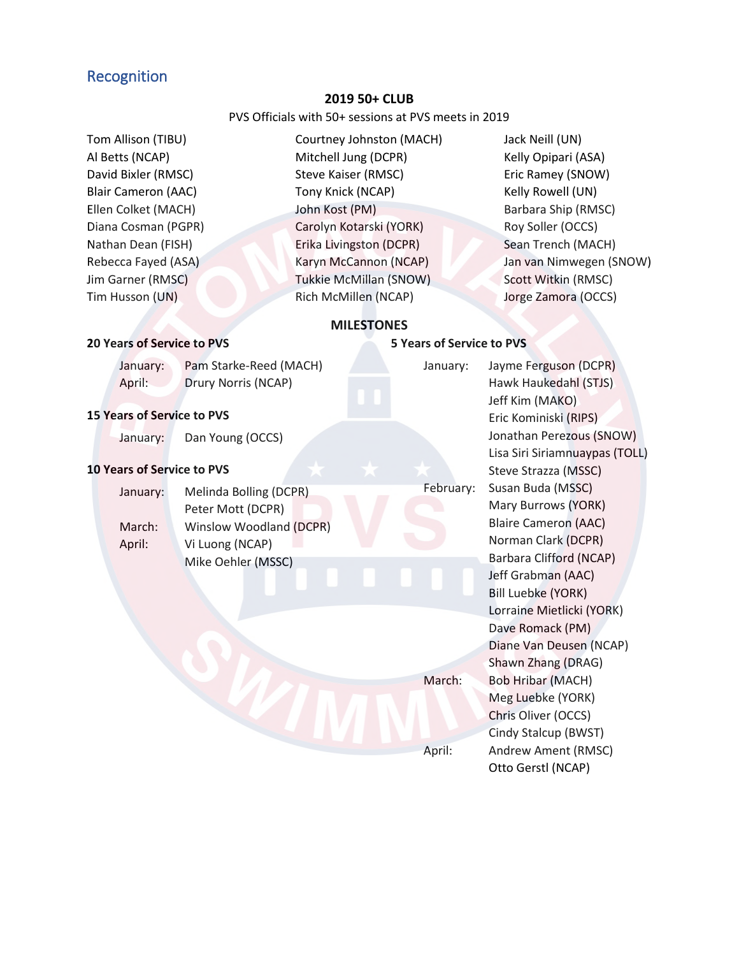### <span id="page-1-1"></span><span id="page-1-0"></span>Recognition

#### **2019 50+ CLUB**

#### PVS Officials with 50+ sessions at PVS meets in 2019

- Tom Allison (TIBU) Al Betts (NCAP) David Bixler (RMSC) Blair Cameron (AAC) Ellen Colket (MACH) Diana Cosman (PGPR) Nathan Dean (FISH) Rebecca Fayed (ASA) Jim Garner (RMSC) Tim Husson (UN)
- Courtney Johnston (MACH) Mitchell Jung (DCPR) Steve Kaiser (RMSC) Tony Knick (NCAP) John Kost (PM) Carolyn Kotarski (YORK) Erika Livingston (DCPR) Karyn McCannon (NCAP) Tukkie McMillan (SNOW) Rich McMillen (NCAP)

Jack Neill (UN) Kelly Opipari (ASA) Eric Ramey (SNOW) Kelly Rowell (UN) Barbara Ship (RMSC) Roy Soller (OCCS) Sean Trench (MACH) Jan van Nimwegen (SNOW) Scott Witkin (RMSC) Jorge Zamora (OCCS)

### **MILESTONES**

#### <span id="page-1-2"></span>**20 Years of Service to PVS**

### **5 Years of Service to PVS**

|                                   | January:<br>April: | Pam Starke-Reed (MACH)<br>Drury Norris (NCAP) | January:  | Jayme Ferguson (DCPR)<br>Hawk Haukedahl (STJS)                                                                                                                               |
|-----------------------------------|--------------------|-----------------------------------------------|-----------|------------------------------------------------------------------------------------------------------------------------------------------------------------------------------|
| <b>15 Years of Service to PVS</b> |                    |                                               |           | Jeff Kim (MAKO)<br>Eric Kominiski (RIPS)                                                                                                                                     |
|                                   | January:           | Dan Young (OCCS)                              |           | Jonathan Perezous (SNOW)<br>Lisa Siri Siriamnuaypas (TOLL)                                                                                                                   |
| <b>10 Years of Service to PVS</b> |                    |                                               |           | Steve Strazza (MSSC)                                                                                                                                                         |
|                                   | January:           | Melinda Bolling (DCPR)<br>Peter Mott (DCPR)   | February: | Susan Buda (MSSC)<br>Mary Burrows (YORK)                                                                                                                                     |
|                                   | March:             | Winslow Woodland (DCPR)                       |           | <b>Blaire Cameron (AAC)</b>                                                                                                                                                  |
|                                   | April:             | Vi Luong (NCAP)                               |           | Norman Clark (DCPR)                                                                                                                                                          |
|                                   |                    | Mike Oehler (MSSC)                            |           | <b>Barbara Clifford (NCAP)</b><br>Jeff Grabman (AAC)<br>Bill Luebke (YORK)<br>Lorraine Mietlicki (YORK)<br>Dave Romack (PM)<br>Diane Van Deusen (NCAP)<br>Shawn Zhang (DRAG) |
|                                   |                    |                                               | March:    | <b>Bob Hribar (MACH)</b><br>Meg Luebke (YORK)<br>Chris Oliver (OCCS)<br>Cindy Stalcup (BWST)                                                                                 |
|                                   |                    |                                               | April:    | Andrew Ament (RMSC)<br>Otto Gerstl (NCAP)                                                                                                                                    |